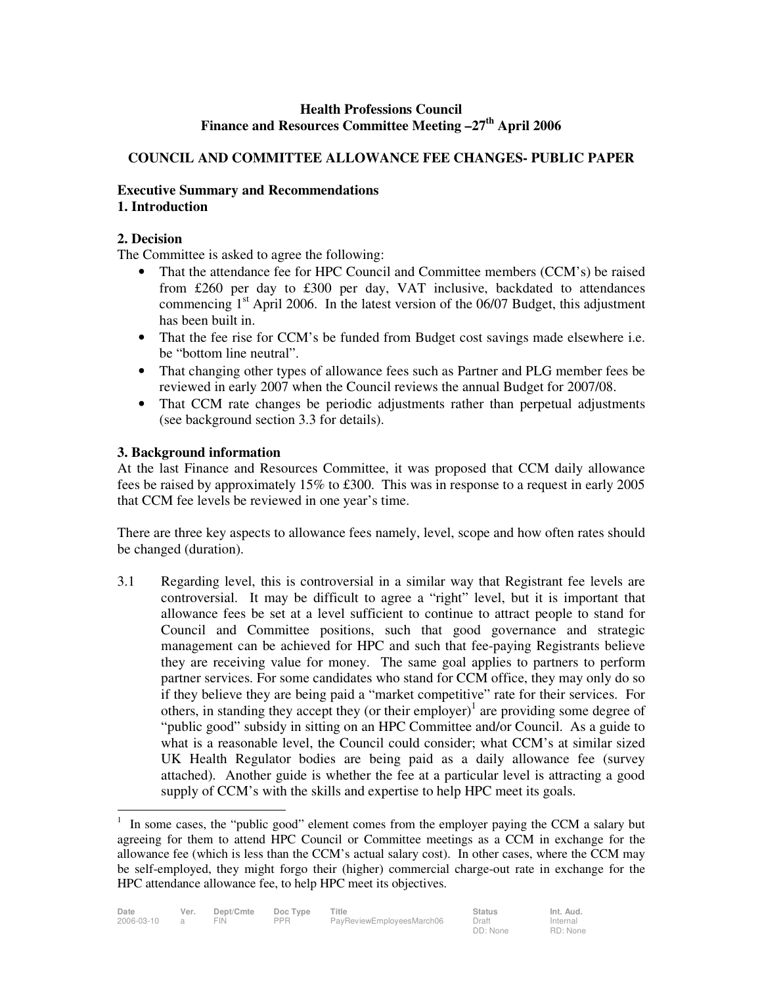# **Health Professions Council Finance and Resources Committee Meeting –27th April 2006**

# **COUNCIL AND COMMITTEE ALLOWANCE FEE CHANGES- PUBLIC PAPER**

#### **Executive Summary and Recommendations 1. Introduction**

## **2. Decision**

The Committee is asked to agree the following:

- That the attendance fee for HPC Council and Committee members (CCM's) be raised from £260 per day to £300 per day, VAT inclusive, backdated to attendances commencing  $1<sup>st</sup>$  April 2006. In the latest version of the 06/07 Budget, this adjustment has been built in.
- That the fee rise for CCM's be funded from Budget cost savings made elsewhere i.e. be "bottom line neutral".
- That changing other types of allowance fees such as Partner and PLG member fees be reviewed in early 2007 when the Council reviews the annual Budget for 2007/08.
- That CCM rate changes be periodic adjustments rather than perpetual adjustments (see background section 3.3 for details).

## **3. Background information**

At the last Finance and Resources Committee, it was proposed that CCM daily allowance fees be raised by approximately 15% to £300. This was in response to a request in early 2005 that CCM fee levels be reviewed in one year's time.

There are three key aspects to allowance fees namely, level, scope and how often rates should be changed (duration).

3.1 Regarding level, this is controversial in a similar way that Registrant fee levels are controversial. It may be difficult to agree a "right" level, but it is important that allowance fees be set at a level sufficient to continue to attract people to stand for Council and Committee positions, such that good governance and strategic management can be achieved for HPC and such that fee-paying Registrants believe they are receiving value for money. The same goal applies to partners to perform partner services. For some candidates who stand for CCM office, they may only do so if they believe they are being paid a "market competitive" rate for their services. For others, in standing they accept they (or their employer) $<sup>1</sup>$  are providing some degree of</sup> "public good" subsidy in sitting on an HPC Committee and/or Council. As a guide to what is a reasonable level, the Council could consider; what CCM's at similar sized UK Health Regulator bodies are being paid as a daily allowance fee (survey attached). Another guide is whether the fee at a particular level is attracting a good supply of CCM's with the skills and expertise to help HPC meet its goals.

<sup>|&</sup>lt;br>|<br>| In some cases, the "public good" element comes from the employer paying the CCM a salary but agreeing for them to attend HPC Council or Committee meetings as a CCM in exchange for the allowance fee (which is less than the CCM's actual salary cost). In other cases, where the CCM may be self-employed, they might forgo their (higher) commercial charge-out rate in exchange for the HPC attendance allowance fee, to help HPC meet its objectives.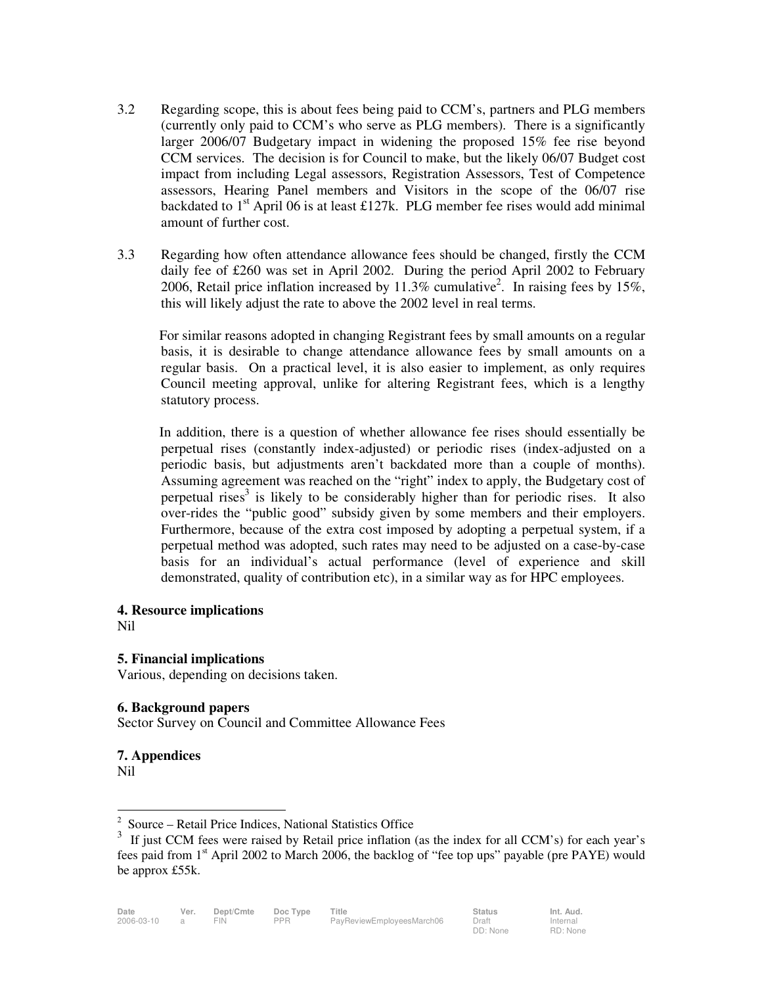- 3.2 Regarding scope, this is about fees being paid to CCM's, partners and PLG members (currently only paid to CCM's who serve as PLG members). There is a significantly larger 2006/07 Budgetary impact in widening the proposed 15% fee rise beyond CCM services. The decision is for Council to make, but the likely 06/07 Budget cost impact from including Legal assessors, Registration Assessors, Test of Competence assessors, Hearing Panel members and Visitors in the scope of the 06/07 rise backdated to  $1<sup>st</sup>$  April 06 is at least £127k. PLG member fee rises would add minimal amount of further cost.
- 3.3 Regarding how often attendance allowance fees should be changed, firstly the CCM daily fee of £260 was set in April 2002. During the period April 2002 to February 2006, Retail price inflation increased by 11.3% cumulative<sup>2</sup>. In raising fees by 15%, this will likely adjust the rate to above the 2002 level in real terms.

For similar reasons adopted in changing Registrant fees by small amounts on a regular basis, it is desirable to change attendance allowance fees by small amounts on a regular basis. On a practical level, it is also easier to implement, as only requires Council meeting approval, unlike for altering Registrant fees, which is a lengthy statutory process.

In addition, there is a question of whether allowance fee rises should essentially be perpetual rises (constantly index-adjusted) or periodic rises (index-adjusted on a periodic basis, but adjustments aren't backdated more than a couple of months). Assuming agreement was reached on the "right" index to apply, the Budgetary cost of perpetual rises<sup>3</sup> is likely to be considerably higher than for periodic rises. It also over-rides the "public good" subsidy given by some members and their employers. Furthermore, because of the extra cost imposed by adopting a perpetual system, if a perpetual method was adopted, such rates may need to be adjusted on a case-by-case basis for an individual's actual performance (level of experience and skill demonstrated, quality of contribution etc), in a similar way as for HPC employees.

**4. Resource implications**  Nil

**5. Financial implications**  Various, depending on decisions taken.

## **6. Background papers**

Sector Survey on Council and Committee Allowance Fees

#### **7. Appendices**  Nil

 $\frac{1}{2}$ Source – Retail Price Indices, National Statistics Office

<sup>3</sup> If just CCM fees were raised by Retail price inflation (as the index for all CCM's) for each year's fees paid from 1<sup>st</sup> April 2002 to March 2006, the backlog of "fee top ups" payable (pre PAYE) would be approx £55k.